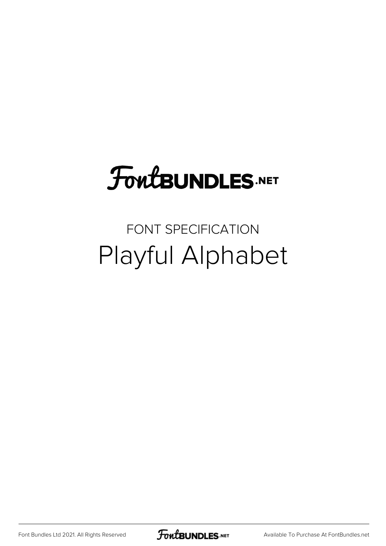# FoutBUNDLES.NET

#### FONT SPECIFICATION Playful Alphabet

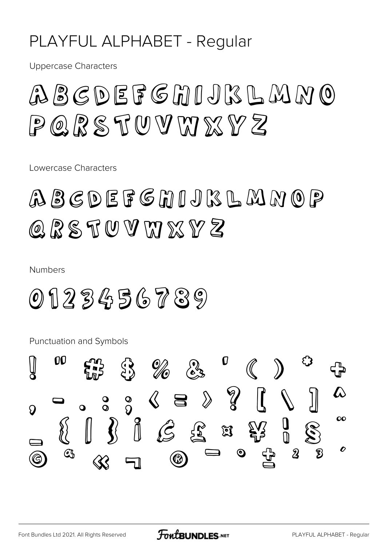#### PLAYFUL ALPHABET - Regular

**Uppercase Characters** 

## $PQRSTUVWXYZ$

Lowercase Characters

## ABCDEFGMIJKLMNOP Q R S T U V M X Y Z

**Numbers** 

### $0123456789$

**Punctuation and Symbols** 

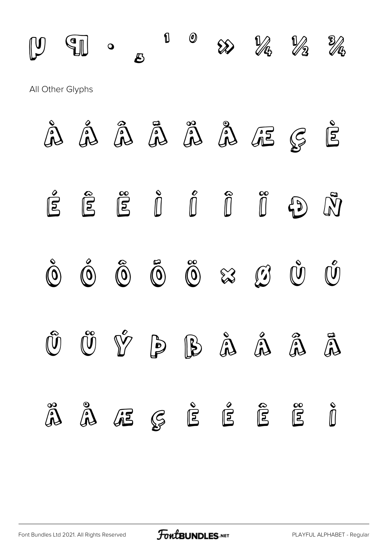

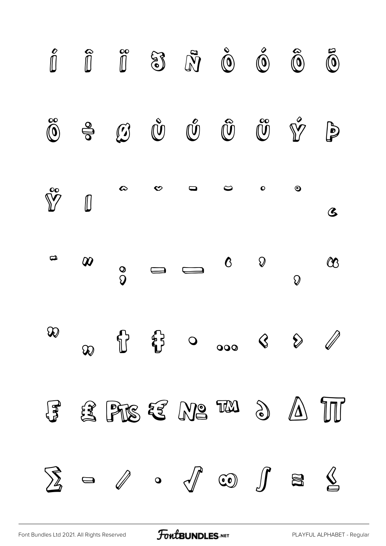

[Font Bundles Ltd 2021. All Rights Reserved](https://fontbundles.net/) **FoutBUNDLES.NET** [PLAYFUL ALPHABET - Regular](https://fontbundles.net/)